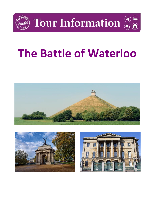

Tour Information  $\frac{\partial F}{\partial x}$ 







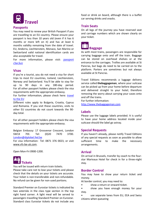

#### **Passports**

You may need to renew your British Passport if you are travelling to an EU country. Please ensure your passport is less than 10 years old (even if it has 6 months or more left on it) and has at least 6 months validity remaining from the date of travel. EU, Andorra, Liechtenstein, Monaco, San Marino or Switzerland valid national identification cards are also acceptable for travel.

For more information, please visit: passport [checker](https://www.gov.uk/visit-europe-1-january-2021?utm_medium=uktrav-partner&utm_source=social&utm_campaign=transition&utm_content=AITO)

# **Visas**

If you're a tourist, you do not need a visa for short trips to most EU countries, Iceland, Liechtenstein, Norway and Switzerland. You'll be able to stay for up to 90 days in any 180-day period. For all other passport holders please check the visa requirements with the appropriate embassy.

For further information, please check here: [travel](https://www.gov.uk/visit-europe-1-january-2021?utm_medium=uktrav-partner&utm_source=social&utm_campaign=transition&utm_content=AITO)  [to the EU](https://www.gov.uk/visit-europe-1-january-2021?utm_medium=uktrav-partner&utm_source=social&utm_campaign=transition&utm_content=AITO)

Different rules apply to Bulgaria, Croatia, Cyprus and Romania. If you visit these countries, visits to other EU countries do not count towards the 90 day total.

For all other passport holders please check the visa requirements with the appropriate embassy.

Belgian Embassy: 17 Grosvenor Crescent, London SW1X 7EE. Tel: (0)20 7470 3700. [London@diplobel.fed.be](mailto:London@diplobel.fed.be) For visa information: Tel: 0871 376 0023, or visit

[www.vfs-be-uk.com.](http://www.vfs-be-uk.com/)

Open Mon-Fri 0900-1200.



You will be issued with return train tickets. Please take care not to lose your tickets and please check that the details on your tickets are accurate. Your ticket is non-transferable and non-refundable. No refund can be given for non-used portions.

Standard Premier on Eurostar tickets is indicated by two asterisks in the class type section in the top right hand corner. A light meal will be served to passengers travelling Standard Premier on Eurostar. Standard class Eurostar tickets do not include any food or drink on board, although there is a buffet car serving drinks and snacks.

# **Train Seats**

On all legs of the journey you have reserved seat and carriage numbers which are shown clearly on your ticket.



As with most trains, passengers are responsible for carrying baggage onto and off the train. Baggage can be stored on overhead shelves or at the entrance to the carriages. Trollies are available at St Pancras, but bags do need to be carried on to the platform. Porters are sometimes but not always available at St Pancras.

Travel Editions recommends a luggage delivery service called **thebaggageman**, where your suitcase can be picked up from your home before departure and delivered straight to your hotel; therefore removing the worry about carrying your cases onto and off the trains.

For further information: [http://www.thebaggageman.com](http://www.thebaggageman.com/)

#### **Labels**

Please use the luggage labels provided. It is useful to have your home address located inside your suitcase should the label go astray.

#### **Special Requests**

If you haven't already, please notify Travel Editions of any special requests as soon as possible to allow sufficient time to make the necessary arrangements.

#### **Arrival**

On arrival in Brussels, transfer by coach to the fourstar Marivaux Hotel for check in for a three-night stay.

# **Border Control**

You may have to show your return ticket and money.

At border control, you may need to:

show a return or onward ticket.

• show you have enough money for your stay.

use separate lanes from EU, EEA and Swiss citizens when queueing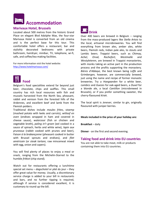

## **Marivaux Hotel, Brussels**

Located about 500 metres from the historic Grand Place on elegant Blvd Adolphe Max, the four-star Marivaux Hotel is converted from an old cinema and is the perfect base for this tour. This comfortable hotel offers a restaurant, bar and stylishly decorated bedrooms with private bathroom, hairdryer, minibar, TV, telephone, wi-fi, safe, and coffee/tea making facilities.

For more information visit the hotel website: <http://www.hotelmarivaux.com/>



Belgium's food specialities extend far beyond just beer, chocolate, chips and waffles. This small country has rich local resources with fish and mussels harvested from the North Sea, pheasant, rabbit and venison from the forested hills of the Ardennes, and excellent beef and lamb from the Flemish polders.

Traditional dishes include *moules frites*, s*toemp*  (mashed potato with leeks and carrots), *witloof en oven* (endives wrapped in ham and covered in cheese sauce), *waterzooi* (fish or chicken and vegetable broth), *paling in't groen* (eel cooked in a sauce of spinach, herbs and white wine), *lapin aux pruneaux* (rabbit cooked with prunes and beer), *Faison à la brabançonne* (pheasant cooked in butter with Brussel sprouts and endives), and *filet américain* (or *steak tartare,* raw mincemeat mixed with egg, onion and capers).

You will find plenty of places to enjoy a meal or snack, ranging from the Michelin-Starred to the humble *fritkot* (chip stand).

Watch out for restaurants offering a lunchtime special set menu – *dagschotel* or *plat du* jour – they offer great value for money. Usually, a discretionary service charge is added to your bill in restaurants and bars, and no further tipping is required, although if service is considered excellent, it is customary to round up the bill.



Over 400 beers are brewed in Belgium – ranging from the mass-produced lagers like *Stella Artois* to the local, artisanal microbreweries. You will find everything from brown ales, amber ales, white beers, Flemish reds, Indian pale ales, to stouts and Lambic beers. *Trappist* beers, such as *Chimay, Achel, Orval, Rochefort, Westmalle* and *Westyleteren*, are brewed in Trappist monasteries, with monks taking an active part in the production process and the profits supporting the monastery. *Bières d'Abbaye,* the best known being *Leffe* and G*rimbergen,* however, are commercially brewed, just using the name and recipe of former monastic breweries. Try a *Hoegaarden* for a white beer, *Lambics* and *Guezes* for oak-aged beers, a *Duvel* for a blonde ale, a local *Cantillon* (microbrewed in Brussels), or if you prefer something sweeter, the cherry-flavoured *Kriek*.

The local spirit is *Jenever*, similar to gin, originally flavoured with juniper berries.

**Meals included in the price of your holiday are:**

**Breakfast** – daily

**Dinner** - on the first and second evening.

# **Taking food and drink into EU countries**

You are not able to take meat, milk or products containing them into EU countries.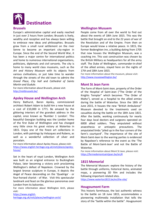

#### **Brussels**

Europe's administrative capital and easily reached in just over 2 hours from London; Brussels is lively, wealthy and receptive and has always been willing to embrace new ideas and philosophies. Brussels grew from a small rural settlement on the river Senne to become an important city-region in Europe. Since the end of the Second World War, it has been a major centre for international politics and home to numerous international organisations, politicians, diplomats and civil servants. The city is home to many world class museums, such as the *Art and History Museum* with its objects from various civilisations, or just take time to wander through the streets of the old town to admire the *Grand Place, City hall* and *Cathedral of Saints Martin and Gudule*.

For more information about Brussels, please visit: <http://visitbrussels.be/>

## **Apsley House and Wellington Arch**

Henry Bathurst, Baron Apsley, commissioned architect Robert Adam to build him a new house at a cost of £10,000 in 1771. Be amazed by the glittering interiors of the grandest address in the capital, once known as 'Number 1 London'. This beautiful Georgian building was the London home of the first Duke of Wellington and has changed very little since his great victory at Waterloo in 1815. Enjoy one of the finest art collections in London, with paintings by Velazquez and Rubens, as well as a wonderful collection of silver and porcelain.

For more information about Apsley House, please visit: [https://www.english-heritage.org.uk/visit/places/apsley](https://www.english-heritage.org.uk/visit/places/apsley-house/)[house/](https://www.english-heritage.org.uk/visit/places/apsley-house/)

Set in the heart of royal London, Wellington Arch was built as an original entrance to Buckingham Palace, later becoming a victory arch proclaiming Wellington's defeat of Napoleon. Crowned by the largest bronze sculpture in Europe, it depicts the Angel of Peace descending on the 'Quadriga' - or four-horsed chariot - of War. Visit this spectacular landmark and feast on the glorious panoramas over London from its balconies.

For more information about Wellington Arch, please visit:

[https://www.english](https://www.english-heritage.org.uk/visit/places/wellington-arch/)[heritage.org.uk/visit/places/wellington-arch/](https://www.english-heritage.org.uk/visit/places/wellington-arch/)

### **Wellington Musuem**

People come from all over the world to find out about the events of 18th June 1815. This was the battle that brought an end to the 22 years of war of the Revolution and of the Empire. From then on Europe would know a relative peace. In 1815, the former Bodenghien inn, a building dating from 1705 that now houses the Wellington Museum, was a coaching inn. This vast construction was chosen by the British Military as headquarters for all the army staff. The Duke of Wellington, commander-in-chief of the allied armies, stayed here on the nights of 17th and 18th June 1815.

For more information about the museum, please visit: <http://www.museewellington.be/>

#### **Mont St Jean Farm**

The Farm of Mont-Saint-Jean, property of the Order of the Hospital of Saint-Jean ("The Order of the Knights Templar" which becomes "The Order of Malta"), served as a hospital to the allied armies during the battle of Waterloo. Since the 18th of June 2015, it houses the new "British Ambulance" Museum devoted to the treatments used on casualties during the battle on the 18th June 1815. After the battle, working continuously for nearly four days local doctors and surgeons operated on 6000 allied soldiers. They amputated without anaesthesia or antiseptic precautions. The amputated limbs "piled up in the four corners of the farm's courtyard". The importance of the site of Mont-Saint-Jean to the warring parties is evidenced by Napoleon's reference to the event as the 'The Battle of Mont-Saint-Jean' and not the Battle of Waterloo.

For more information about Mont St Jean, please visit: [https://fermedemontsaintjean.be/en/#](https://fermedemontsaintjean.be/en/)

# **1815 Memorial**

The Memorial Museum: explore the history of the battle through uniforms, historical items, animated maps, a pioneering 3D film and includes the following important related sites.

<https://www.waterloo1815.be/en/the-site/>

#### **Hougoumont Farm**

This historic farmhouse, the last authentic witness to the battle on 18 June 1815, accommodates a pioneering multimedia installation that tells the story of the "battle within the battle". Hougoumont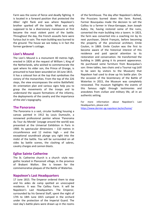Farm was the scene of fierce and deadly fighting. It is located in a forward position that protected the Allies' right flank and was where Napoleon's brother sparked off the battle. What was only supposed to be a diversionary manoeuvre at first became the most violent point of the battle. Throughout the day, the French assaults here were furious but in vain. The main building was burned to the ground. The house we see today is in fact the former gardener's cottage.

#### **Lion's Mound**

The Lion's Mound is a monument 40 metres high, erected in 1826 at the request of William I, King of the Netherlands, who wished to commemorate the spot where his elder son, the Prince of Orange, is presumed to have been wounded on 18 June 1815. It has a colossal lion at the top that symbolises the victory of the monarchies. From the top of the 226 steps, the view encompasses the entire Battlefield. An orientation plan and various signs help you to grasp the movements of the troops and to understand the square formations of the infantry, the deployments of the cavalry and the importance of the site's topography.

#### **The Panorama**

The Panorama is a vast, circular building housing a canvas painted in 1912 by Louis Dumoulin, a renowned professional painter whose 'Panorama du Tour du Monde' (voyage around the world) was presented at the Universal Exhibition in Paris in 1900. Its spectacular dimensions – 110 metres in circumference and 12 metres high – and the exceptional soundtrack plunge you right into the midst of the battle. You will be surrounded on all sides by battle scenes, the clashing of sabres, cavalry charges and cannon blasts.

#### **Eglise Sainte Catherine**

The St. Catherine church is a church -style neogothic located in Plancenoit village, in the province of Brabant Wallon. She is known for the commemorative plaques of the Battle of Waterloo.

## **Napoleon's Last Headquarters**

17 June 1815. The Emperor ordered them to stop and his aides de camp spotted an unoccupied residence. It was The Caillou Farm. It will be Napoleon's Last Headquarters. The Emperor, surrounded by his General Staff, spent the night of 17th to 18th June 1815 camped in the orchard under the protection of the Imperial Guard. The next day's battle plans were drawn up in the rooms

of the farmhouse. The day after Napoleon's defeat, the Prussians burned down the farm. Ruined, Farmer Boucquéau made the decision to sell the Caillou to a farmer in Vieux-Genappe, Jean Joseph Aubry. He, having restored some of the ruins, converted the main building into a tavern. In 1823, the farm was converted into a coaching inn by its next purchaser, Désiré François, before becoming the property of the provincial architect, Emile Coulon, in 1869. Emile Coulon was the first to become aware of the historical interest of this residence and paid special attention to its restoration and conservation. He transformed the building in 1889, giving it its present appearance. He purchased some furniture from Boucquéau's son: three tables, two chairs and a Tournai rug (still to be seen by visitors to the Museum) that Napoleon had used to draw up his battle plan. On the occasion of the bicentenary of the Battle of Waterloo in 2015, the Museum was completely renovated. The museum highlights the events of this famous night through testimonies and anecdotes from civilian and military life, all in an authentic setting.

For more information about Napoleon's Last Headquarters, please visit:

<https://www.dernier-qg-napoleon.be/en/home/>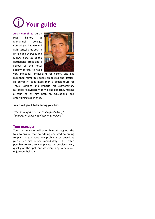# **Your guide**

**Julian Humphrys -** Julian read history at Emmanuel College, Cambridge, has worked at historical sites both in Britain and overseas and is now a trustee of the Battlefields Trust and a Fellow of the Royal Society of Arts. He has a



very infectious enthusiasm for history and has published numerous books on castles and battles. He currently leads more than a dozen tours for Travel Editions and imparts his extraordinary historical knowledge with wit and panache, making a tour led by him both an educational and entertaining experience.

#### **Julian will give 2 talks during your trip:**

*"The Scum of the earth: Wellington's Army" "Emperor in exile: Napoleon on St Helena,"*

#### **Tour manager**

Your tour manager will be on hand throughout the tour to ensure that everything operated according to plan. If you have any problems or questions please see him or her immediately  $-$  it is often possible to resolve complaints or problems very quickly on the spot, and do everything to help you enjoy your holiday.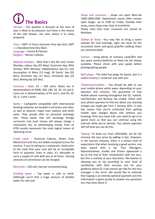**The Basics** 

Climate – The weather in Brussels at this time of year is likely to be pleasant, but there is the chance of the odd shower. Our best advice is to come prepared.

Time – GMT +2 hours (Summer time Apr-Oct); GMT + 1 (Standard time Nov-Mar). Language – French & Flemish. Religion – Roman Catholic.

National holidays – New Year's day (01 Jan); Easter Monday; Labour day (01 May); Ascension day; Whit Sunday; Whit Monday; Independence day (21 Jul); Assumption of Mary (15 Aug); All Saints' day (01 Nov); Armistice day (11 Nov); Christmas day (25 Dec); Boxing day (26 Dec).

Currency – Euro.  $\epsilon$ 1 = 100 cents. Notes are in denominations of €500, 200, 100, 50, 20, 10 and 5. Coins are in denominations of  $E$ 2 and 1, and 50, 20, 10, 5, 2 and 1 cents.

Banks – Cashpoints compatible with international banking networks are located in all towns and cities, as well as airports, major train stations and other spots. They usually offer an attractive exchange rate. Those banks that still exchange foreign currencies into local money will always charge a transaction fee, so withdrawing money from an ATM usually represents the most logical means of obtaining euros.

Credit cards – American Express, Diners Club, MasterCard and Visa are widely accepted across the country. If you're eating at a restaurant, check prior to the meal that your card will be an acceptable form of payment. Even in cities, it's advisable to carry a supply of cash with you at all times. Varying amounts of commission can be charged.

Electricity – 220 volt, two-pin continental plug.

Drinking water – Tap water is safe to drink. (Although you'll find a huge amount of bottled water for sale too)

Shops and museums – Shops are open Mon-Sat 1000-1800/1900. Department stores often remain open longer, up to 2100 on Friday. Outside main areas, some shops may close at lunchtime.

Please note that most museums are closed on Mondays.

Clothes & Shoes –You may like to bring a warm sweater for cool evenings. Light rain wear for the occasional storm and good grip/flat walking shoes are recommended.

Camera – bring plenty of memory cards/film and any spare camera batteries as these are not always available. Please check with your guide before photographing people.

Bath plugs – The hotel has plugs for basins, but it is useful to carry a 'universal' one with you.

Telephones/mobiles – You should be able to use your mobile phone whilst away, depending on your operator and contract. The guarantee of free mobile phone roaming throughout the EU, Iceland, Liechtenstein and Norway has ended. Check with your phone operator to find out about any roaming charges you might get from 1 January 2021. A new law means that you're protected from getting mobile data charges above £45 without you knowing. Once you reach £45, you need to opt in to spend more so that you can continue using the internet while you're abroad. Your phone operator will tell how you can do this.

Tipping –To keep our tours affordable, we do not increase the tour price by adding in tips. However, in the tourism industry, there is a certain level of expectation that when receiving a good service, one does award with a tip. Tour Managers, Representatives, Guides and Drivers appreciate a tip at the end of their involvement with the tour, but this is entirely at your discretion. We believe in allowing you to tip according to your level of satisfaction with their services, but for your guidance about £2-3 per person per day for the tour manager is the norm. We would like to reiterate that tipping is an entirely optional payment and this information is given purely to answer any questions you may have about it.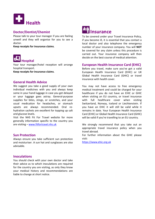

# **Doctor/Dentist/Chemist**

Please talk to your tour manager if you are feeling unwell and they will organise for you to see a doctor.

**Keep receipts for insurance claims**.



Your tour manager/hotel reception will arrange hospital transport.

**Keep receipts for insurance claims**.

## **General Health Advice**

We suggest you take a good supply of your own individual medicines with you and always keep some in your hand luggage in case you get delayed or your luggage goes astray. General-purpose supplies for bites, stings, or scratches, and your usual medication for headaches, or stomach upsets are always recommended. Oral rehydration sachets are excellent for topping up salt and glucose levels.

Visit the NHS Fit For Travel website for more generally information specific to the country you are visiting – [www.fitfortravel.nhs.uk](http://www.fitfortravel.nhs.uk/)

# **Sun Protection**

Always ensure you take sufficient sun protection and moisturiser. A sun hat and sunglasses are also advisable.

#### **Inoculations**

You should check with your own doctor and take their advice as to which inoculations are required for the country you are visiting, as only they know your medical history and recommendations are liable to change at short notice.



To be covered under your Travel Insurance Policy, if you become ill, it is essential that you contact a local doctor and also telephone the emergency number of your insurance company. You will **NOT** be covered for any claim unless this procedure is carried out. Your insurance company will then decide on the best course of medical attention.

## **European Health Insurance Card (EHIC)**

Before you travel, make sure you've got a valid European Health Insurance Card (EHIC) or UK Global Health Insurance Card (GHIC) or travel insurance with health cover.

You may not have access to free emergency medical treatment and could be charged for your healthcare if you do not have an EHIC or GHIC when visiting an EU country, or travel insurance with full healthcare cover when visiting Switzerland, Norway, Iceland or Liechtenstein. If you have an EHIC it will still be valid while it remains in date. Your European Health Insurance Card (EHIC) or Global Health Insurance Card (GHIC) will be valid if you're travelling to an EU country.

We strongly recommend that you take out an appropriate travel insurance policy when you travel abroad.

For further information about the GHIC please visit:

[https://www.ehic.org.uk](https://www.ehic.org.uk/)